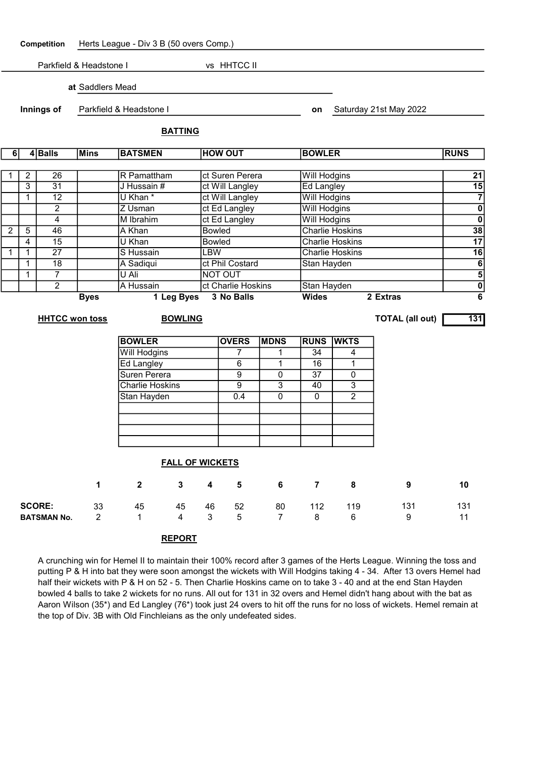Competition Herts League - Div 3 B (50 overs Comp.)

Parkfield & Headstone I vs HHTCC II

at Saddlers Mead

Innings of Parkfield & Headstone I contract the Catalogue on Saturday 21st May 2022

### BATTING

| 4Balls<br><b>Mins</b><br>6 |                                   |                    | <b>BATSMEN</b>         |                                   | <b>HOW OUT</b>  |                    |                                  | <b>BOWLER</b>     |                                  |                              | <b>RUNS</b>            |                |  |
|----------------------------|-----------------------------------|--------------------|------------------------|-----------------------------------|-----------------|--------------------|----------------------------------|-------------------|----------------------------------|------------------------------|------------------------|----------------|--|
|                            |                                   |                    |                        |                                   |                 |                    |                                  |                   |                                  |                              |                        |                |  |
| 1                          | $\overline{2}$<br>$\overline{26}$ |                    |                        | R Pamattham                       |                 |                    | ct Suren Perera                  |                   |                                  | <b>Will Hodgins</b>          |                        |                |  |
|                            | 3                                 | $\overline{31}$    |                        | J Hussain #                       |                 |                    | ct Will Langley                  | <b>Ed Langley</b> | 15<br>$\overline{7}$             |                              |                        |                |  |
|                            | 1                                 | $\overline{12}$    |                        | U Khan <sup>*</sup>               |                 |                    | ct Will Langley                  |                   |                                  | <b>Will Hodgins</b>          |                        |                |  |
|                            |                                   | $\overline{2}$     |                        | Z Usman                           |                 |                    | ct Ed Langley                    |                   |                                  | <b>Will Hodgins</b>          |                        |                |  |
|                            |                                   | 4                  |                        | M Ibrahim                         |                 | ct Ed Langley      |                                  |                   | <b>Will Hodgins</b>              | $\overline{\mathbf{0}}$      |                        |                |  |
| $\overline{2}$             | $\overline{5}$                    | 46                 |                        | A Khan                            |                 |                    | <b>Bowled</b>                    |                   |                                  | <b>Charlie Hoskins</b>       |                        |                |  |
|                            | $\overline{4}$                    | $\overline{15}$    |                        | U Khan                            |                 |                    | <b>Bowled</b>                    |                   |                                  | <b>Charlie Hoskins</b>       |                        |                |  |
| $\mathbf{1}$               | $\mathbf{1}$                      | $\overline{27}$    |                        | S Hussain                         |                 |                    | <b>LBW</b>                       |                   |                                  | <b>Charlie Hoskins</b>       |                        |                |  |
|                            | $\mathbf{1}$                      | $\overline{18}$    |                        | A Sadiqui                         | ct Phil Costard |                    |                                  |                   | Stan Hayden                      |                              |                        |                |  |
|                            | 1                                 | $\overline{7}$     |                        | U Ali                             |                 | <b>NOT OUT</b>     |                                  |                   |                                  |                              |                        |                |  |
|                            | $\overline{2}$                    |                    |                        | A Hussain                         |                 | ct Charlie Hoskins |                                  |                   | Stan Hayden                      | $\overline{\sigma}$ $\sigma$ |                        |                |  |
|                            | <b>Byes</b>                       |                    |                        | 1 Leg Byes                        |                 |                    | 3 No Balls                       |                   |                                  |                              | 2 Extras               | $\overline{6}$ |  |
|                            |                                   |                    |                        |                                   |                 |                    |                                  |                   |                                  |                              |                        |                |  |
| <b>HHTCC won toss</b>      |                                   |                    |                        |                                   | <b>BOWLING</b>  |                    |                                  |                   |                                  |                              | <b>TOTAL (all out)</b> | 131            |  |
|                            |                                   |                    |                        | <b>BOWLER</b>                     |                 |                    |                                  |                   |                                  |                              |                        |                |  |
|                            |                                   |                    |                        |                                   |                 |                    | <b>OVERS</b><br>7                | <b>MDNS</b>       | <b>RUNS</b><br>$\overline{34}$   | <b>WKTS</b>                  |                        |                |  |
|                            |                                   |                    |                        | <b>Will Hodgins</b>               |                 |                    | $\overline{6}$                   | 1<br>$\mathbf{1}$ | 16                               | 4<br>1                       |                        |                |  |
|                            |                                   |                    |                        | <b>Ed Langley</b><br>Suren Perera |                 |                    | $\overline{9}$                   |                   | $\overline{37}$                  |                              |                        |                |  |
|                            |                                   |                    | <b>Charlie Hoskins</b> |                                   |                 | $\overline{9}$     | $\overline{0}$<br>$\overline{3}$ | 40                | $\overline{0}$<br>$\overline{3}$ |                              |                        |                |  |
|                            |                                   |                    |                        |                                   |                 | 0.4                | $\overline{0}$                   | $\mathbf 0$       | $\overline{2}$                   |                              |                        |                |  |
|                            |                                   |                    |                        | Stan Hayden                       |                 |                    |                                  |                   |                                  |                              |                        |                |  |
|                            |                                   |                    |                        |                                   |                 |                    |                                  |                   |                                  |                              |                        |                |  |
|                            |                                   |                    |                        |                                   |                 |                    |                                  |                   |                                  |                              |                        |                |  |
|                            |                                   |                    |                        |                                   |                 |                    |                                  |                   |                                  |                              |                        |                |  |
|                            |                                   |                    |                        |                                   |                 |                    |                                  |                   |                                  |                              |                        |                |  |
|                            |                                   |                    |                        | <b>FALL OF WICKETS</b>            |                 |                    |                                  |                   |                                  |                              |                        |                |  |
|                            |                                   |                    | 1                      | $\mathbf{2}$                      | $\mathbf{3}$    | 4                  | 5                                | 6                 | $\overline{7}$                   | 8                            | 9                      | 10             |  |
|                            |                                   | <b>SCORE:</b>      | 33                     | 45                                | 45              | 46                 | 52                               | 80                | 112                              | 119                          | 131                    | 131            |  |
|                            |                                   | <b>BATSMAN No.</b> | $\overline{2}$         | $\mathbf{1}$                      | 4               | 3                  | 5                                | $\overline{7}$    | 8                                | 6                            | 9                      | 11             |  |
|                            |                                   |                    |                        |                                   |                 |                    |                                  |                   |                                  |                              |                        |                |  |

## REPORT

A crunching win for Hemel II to maintain their 100% record after 3 games of the Herts League. Winning the toss and putting P & H into bat they were soon amongst the wickets with Will Hodgins taking 4 - 34. After 13 overs Hemel had half their wickets with P & H on 52 - 5. Then Charlie Hoskins came on to take 3 - 40 and at the end Stan Hayden bowled 4 balls to take 2 wickets for no runs. All out for 131 in 32 overs and Hemel didn't hang about with the bat as Aaron Wilson (35\*) and Ed Langley (76\*) took just 24 overs to hit off the runs for no loss of wickets. Hemel remain at the top of Div. 3B with Old Finchleians as the only undefeated sides.